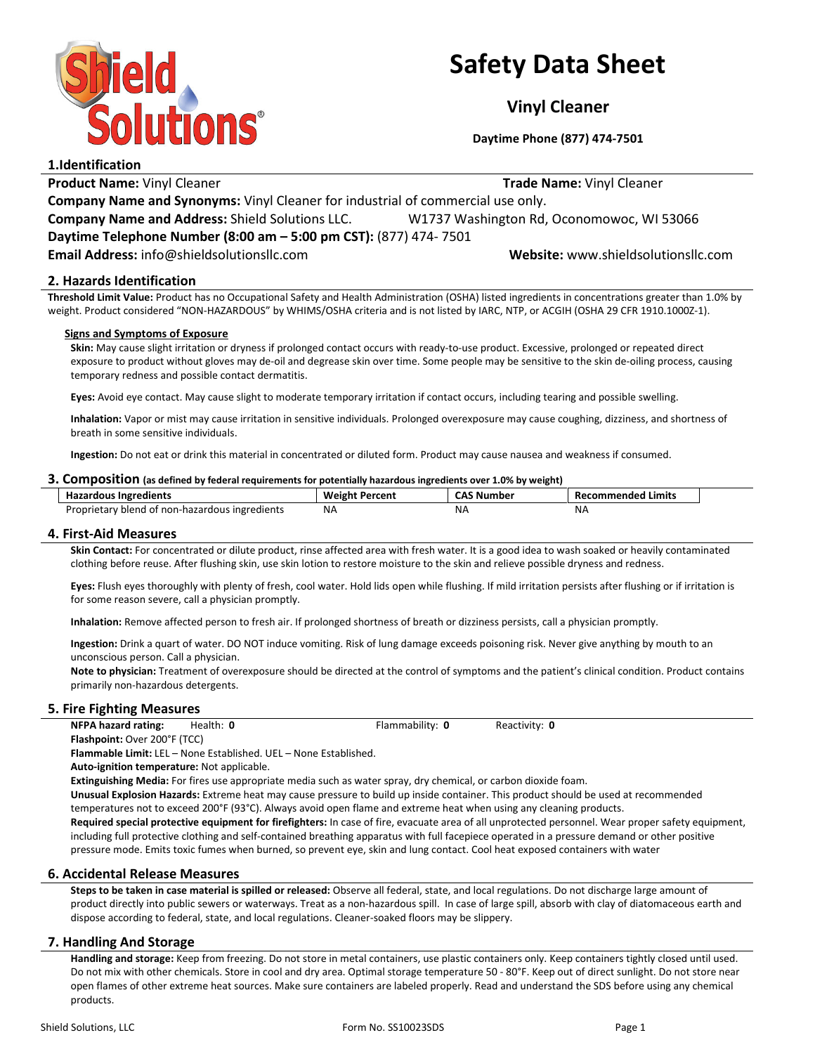

## Safety Data Sheet

Vinyl Cleaner

Daytime Phone (877) 474-7501

1.Identification Product Name: Vinyl Cleaner Trade Name: Vinyl Cleaner Trade Name: Vinyl Cleaner Company Name and Synonyms: Vinyl Cleaner for industrial of commercial use only. Company Name and Address: Shield Solutions LLC. W1737 Washington Rd, Oconomowoc, WI 53066 Daytime Telephone Number (8:00 am – 5:00 pm CST): (877) 474- 7501 Email Address: info@shieldsolutionsllc.com Website: www.shieldsolutionsllc.com

## 2. Hazards Identification

Threshold Limit Value: Product has no Occupational Safety and Health Administration (OSHA) listed ingredients in concentrations greater than 1.0% by weight. Product considered "NON-HAZARDOUS" by WHIMS/OSHA criteria and is not listed by IARC, NTP, or ACGIH (OSHA 29 CFR 1910.1000Z-1).

#### Signs and Symptoms of Exposure

Skin: May cause slight irritation or dryness if prolonged contact occurs with ready-to-use product. Excessive, prolonged or repeated direct exposure to product without gloves may de-oil and degrease skin over time. Some people may be sensitive to the skin de-oiling process, causing temporary redness and possible contact dermatitis.

Eyes: Avoid eye contact. May cause slight to moderate temporary irritation if contact occurs, including tearing and possible swelling.

Inhalation: Vapor or mist may cause irritation in sensitive individuals. Prolonged overexposure may cause coughing, dizziness, and shortness of breath in some sensitive individuals.

Ingestion: Do not eat or drink this material in concentrated or diluted form. Product may cause nausea and weakness if consumed.

#### 3. Composition (as defined by federal requirements for potentially hazardous ingredients over 1.0% by weight)

| <b>Hazardous Ingredients</b>                   | <b>Weight Percent</b> | <b>CAS Number</b> | Recommended Limits |
|------------------------------------------------|-----------------------|-------------------|--------------------|
| Proprietary blend of non-hazardous ingredients | <b>NA</b>             | ΝA                | NΑ                 |

## 4. First-Aid Measures

Skin Contact: For concentrated or dilute product, rinse affected area with fresh water. It is a good idea to wash soaked or heavily contaminated clothing before reuse. After flushing skin, use skin lotion to restore moisture to the skin and relieve possible dryness and redness.

Eyes: Flush eyes thoroughly with plenty of fresh, cool water. Hold lids open while flushing. If mild irritation persists after flushing or if irritation is for some reason severe, call a physician promptly.

Inhalation: Remove affected person to fresh air. If prolonged shortness of breath or dizziness persists, call a physician promptly.

Ingestion: Drink a quart of water. DO NOT induce vomiting. Risk of lung damage exceeds poisoning risk. Never give anything by mouth to an unconscious person. Call a physician.

Note to physician: Treatment of overexposure should be directed at the control of symptoms and the patient's clinical condition. Product contains primarily non-hazardous detergents.

## 5. Fire Fighting Measures

NFPA hazard rating: Health: 0 Flammability: 0 Reactivity: 0 Flashpoint: Over 200°F (TCC)

Flammable Limit: LEL – None Established. UEL – None Established.

Auto-ignition temperature: Not applicable.

Extinguishing Media: For fires use appropriate media such as water spray, dry chemical, or carbon dioxide foam.

Unusual Explosion Hazards: Extreme heat may cause pressure to build up inside container. This product should be used at recommended temperatures not to exceed 200°F (93°C). Always avoid open flame and extreme heat when using any cleaning products.

Required special protective equipment for firefighters: In case of fire, evacuate area of all unprotected personnel. Wear proper safety equipment, including full protective clothing and self-contained breathing apparatus with full facepiece operated in a pressure demand or other positive pressure mode. Emits toxic fumes when burned, so prevent eye, skin and lung contact. Cool heat exposed containers with water

## 6. Accidental Release Measures

Steps to be taken in case material is spilled or released: Observe all federal, state, and local regulations. Do not discharge large amount of product directly into public sewers or waterways. Treat as a non-hazardous spill. In case of large spill, absorb with clay of diatomaceous earth and dispose according to federal, state, and local regulations. Cleaner-soaked floors may be slippery.

## 7. Handling And Storage

Handling and storage: Keep from freezing. Do not store in metal containers, use plastic containers only. Keep containers tightly closed until used. Do not mix with other chemicals. Store in cool and dry area. Optimal storage temperature 50 - 80°F. Keep out of direct sunlight. Do not store near open flames of other extreme heat sources. Make sure containers are labeled properly. Read and understand the SDS before using any chemical products.